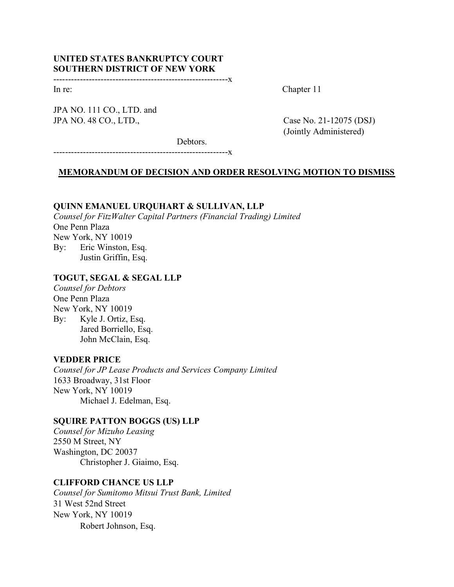# UNITED STATES BANKRUPTCY COURT SOUTHERN DISTRICT OF NEW YORK

-----------------------------------------------------------x

JPA NO. 111 CO., LTD. and JPA NO. 48 CO., LTD., Case No. 21-12075 (DSJ)

In re: Chapter 11

(Jointly Administered)

Debtors.

-----------------------------------------------------------x

### MEMORANDUM OF DECISION AND ORDER RESOLVING MOTION TO DISMISS

## QUINN EMANUEL URQUHART & SULLIVAN, LLP

Counsel for FitzWalter Capital Partners (Financial Trading) Limited One Penn Plaza New York, NY 10019 By: Eric Winston, Esq. Justin Griffin, Esq.

# TOGUT, SEGAL & SEGAL LLP

Counsel for Debtors One Penn Plaza New York, NY 10019 By: Kyle J. Ortiz, Esq. Jared Borriello, Esq. John McClain, Esq.

### VEDDER PRICE

Counsel for JP Lease Products and Services Company Limited 1633 Broadway, 31st Floor New York, NY 10019 Michael J. Edelman, Esq.

### SQUIRE PATTON BOGGS (US) LLP

Counsel for Mizuho Leasing 2550 M Street, NY Washington, DC 20037 Christopher J. Giaimo, Esq.

# CLIFFORD CHANCE US LLP

Counsel for Sumitomo Mitsui Trust Bank, Limited 31 West 52nd Street New York, NY 10019 Robert Johnson, Esq.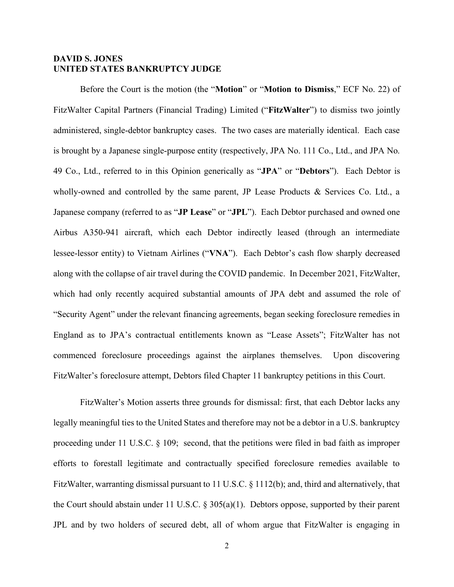# DAVID S. JONES UNITED STATES BANKRUPTCY JUDGE

 Before the Court is the motion (the "Motion" or "Motion to Dismiss," ECF No. 22) of FitzWalter Capital Partners (Financial Trading) Limited ("FitzWalter") to dismiss two jointly administered, single-debtor bankruptcy cases. The two cases are materially identical. Each case is brought by a Japanese single-purpose entity (respectively, JPA No. 111 Co., Ltd., and JPA No. 49 Co., Ltd., referred to in this Opinion generically as "JPA" or "Debtors"). Each Debtor is wholly-owned and controlled by the same parent, JP Lease Products & Services Co. Ltd., a Japanese company (referred to as "JP Lease" or "JPL"). Each Debtor purchased and owned one Airbus A350-941 aircraft, which each Debtor indirectly leased (through an intermediate lessee-lessor entity) to Vietnam Airlines ("VNA"). Each Debtor's cash flow sharply decreased along with the collapse of air travel during the COVID pandemic. In December 2021, FitzWalter, which had only recently acquired substantial amounts of JPA debt and assumed the role of "Security Agent" under the relevant financing agreements, began seeking foreclosure remedies in England as to JPA's contractual entitlements known as "Lease Assets"; FitzWalter has not commenced foreclosure proceedings against the airplanes themselves. Upon discovering FitzWalter's foreclosure attempt, Debtors filed Chapter 11 bankruptcy petitions in this Court.

FitzWalter's Motion asserts three grounds for dismissal: first, that each Debtor lacks any legally meaningful ties to the United States and therefore may not be a debtor in a U.S. bankruptcy proceeding under 11 U.S.C. § 109; second, that the petitions were filed in bad faith as improper efforts to forestall legitimate and contractually specified foreclosure remedies available to FitzWalter, warranting dismissal pursuant to 11 U.S.C. § 1112(b); and, third and alternatively, that the Court should abstain under 11 U.S.C. § 305(a)(1). Debtors oppose, supported by their parent JPL and by two holders of secured debt, all of whom argue that FitzWalter is engaging in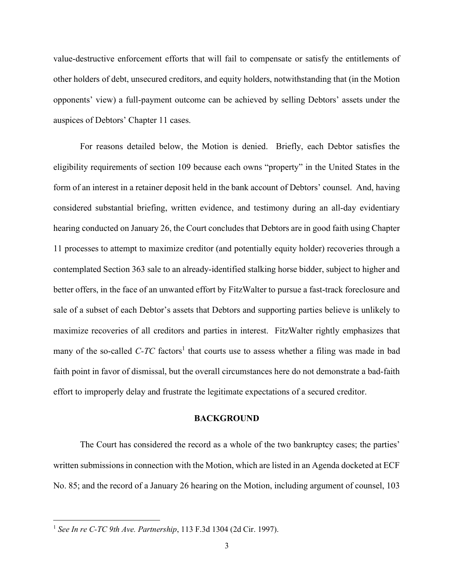value-destructive enforcement efforts that will fail to compensate or satisfy the entitlements of other holders of debt, unsecured creditors, and equity holders, notwithstanding that (in the Motion opponents' view) a full-payment outcome can be achieved by selling Debtors' assets under the auspices of Debtors' Chapter 11 cases.

 For reasons detailed below, the Motion is denied. Briefly, each Debtor satisfies the eligibility requirements of section 109 because each owns "property" in the United States in the form of an interest in a retainer deposit held in the bank account of Debtors' counsel. And, having considered substantial briefing, written evidence, and testimony during an all-day evidentiary hearing conducted on January 26, the Court concludes that Debtors are in good faith using Chapter 11 processes to attempt to maximize creditor (and potentially equity holder) recoveries through a contemplated Section 363 sale to an already-identified stalking horse bidder, subject to higher and better offers, in the face of an unwanted effort by FitzWalter to pursue a fast-track foreclosure and sale of a subset of each Debtor's assets that Debtors and supporting parties believe is unlikely to maximize recoveries of all creditors and parties in interest. FitzWalter rightly emphasizes that many of the so-called  $C$ - $TC$  factors<sup>1</sup> that courts use to assess whether a filing was made in bad faith point in favor of dismissal, but the overall circumstances here do not demonstrate a bad-faith effort to improperly delay and frustrate the legitimate expectations of a secured creditor.

### BACKGROUND

The Court has considered the record as a whole of the two bankruptcy cases; the parties' written submissions in connection with the Motion, which are listed in an Agenda docketed at ECF No. 85; and the record of a January 26 hearing on the Motion, including argument of counsel, 103

<sup>&</sup>lt;sup>1</sup> See In re C-TC 9th Ave. Partnership, 113 F.3d 1304 (2d Cir. 1997).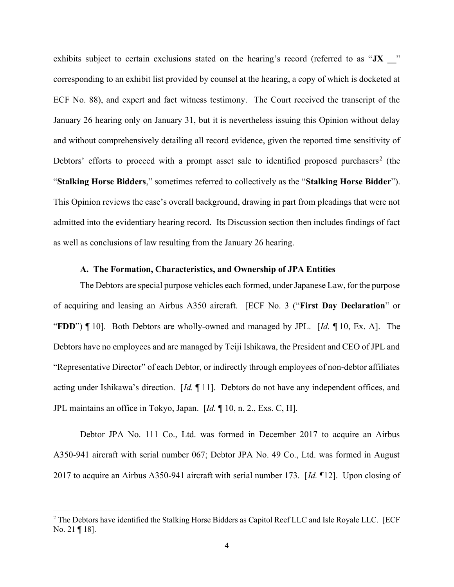exhibits subject to certain exclusions stated on the hearing's record (referred to as "JX " corresponding to an exhibit list provided by counsel at the hearing, a copy of which is docketed at ECF No. 88), and expert and fact witness testimony. The Court received the transcript of the January 26 hearing only on January 31, but it is nevertheless issuing this Opinion without delay and without comprehensively detailing all record evidence, given the reported time sensitivity of Debtors' efforts to proceed with a prompt asset sale to identified proposed purchasers<sup>2</sup> (the "Stalking Horse Bidders," sometimes referred to collectively as the "Stalking Horse Bidder"). This Opinion reviews the case's overall background, drawing in part from pleadings that were not admitted into the evidentiary hearing record. Its Discussion section then includes findings of fact as well as conclusions of law resulting from the January 26 hearing.

# A. The Formation, Characteristics, and Ownership of JPA Entities

The Debtors are special purpose vehicles each formed, under Japanese Law, for the purpose of acquiring and leasing an Airbus A350 aircraft. [ECF No. 3 ("First Day Declaration" or "FDD")  $\P$  10]. Both Debtors are wholly-owned and managed by JPL. [Id.  $\P$  10, Ex. A]. The Debtors have no employees and are managed by Teiji Ishikawa, the President and CEO of JPL and "Representative Director" of each Debtor, or indirectly through employees of non-debtor affiliates acting under Ishikawa's direction. [Id. ¶ 11]. Debtors do not have any independent offices, and JPL maintains an office in Tokyo, Japan. [Id. ¶ 10, n. 2., Exs. C, H].

Debtor JPA No. 111 Co., Ltd. was formed in December 2017 to acquire an Airbus A350-941 aircraft with serial number 067; Debtor JPA No. 49 Co., Ltd. was formed in August 2017 to acquire an Airbus A350-941 aircraft with serial number 173. [Id. 112]. Upon closing of

 $2$  The Debtors have identified the Stalking Horse Bidders as Capitol Reef LLC and Isle Royale LLC. [ECF No. 21 ¶ 18].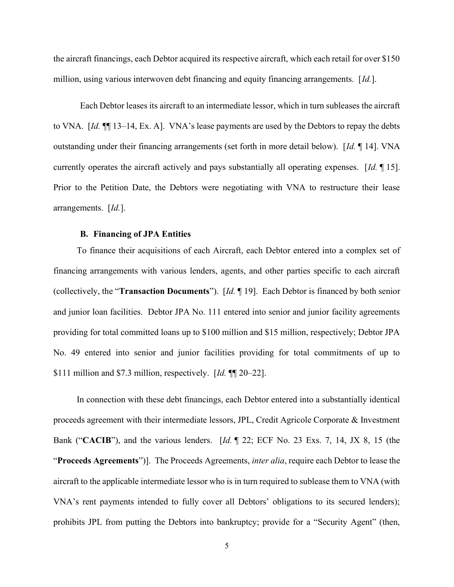the aircraft financings, each Debtor acquired its respective aircraft, which each retail for over \$150 million, using various interwoven debt financing and equity financing arrangements. [Id.].

Each Debtor leases its aircraft to an intermediate lessor, which in turn subleases the aircraft to VNA. [Id. ¶ 13–14, Ex. A]. VNA's lease payments are used by the Debtors to repay the debts outstanding under their financing arrangements (set forth in more detail below). [Id. 14]. VNA currently operates the aircraft actively and pays substantially all operating expenses. [Id. 15]. Prior to the Petition Date, the Debtors were negotiating with VNA to restructure their lease arrangements. [Id.].

#### B. Financing of JPA Entities

To finance their acquisitions of each Aircraft, each Debtor entered into a complex set of financing arrangements with various lenders, agents, and other parties specific to each aircraft (collectively, the "Transaction Documents"). [Id. ¶ 19]. Each Debtor is financed by both senior and junior loan facilities. Debtor JPA No. 111 entered into senior and junior facility agreements providing for total committed loans up to \$100 million and \$15 million, respectively; Debtor JPA No. 49 entered into senior and junior facilities providing for total commitments of up to \$111 million and \$7.3 million, respectively.  $\left[ Id. \right]$  [M] 20–22].

In connection with these debt financings, each Debtor entered into a substantially identical proceeds agreement with their intermediate lessors, JPL, Credit Agricole Corporate & Investment Bank ("CACIB"), and the various lenders. [Id. ¶ 22; ECF No. 23 Exs. 7, 14, JX 8, 15 (the "Proceeds Agreements")]. The Proceeds Agreements, *inter alia*, require each Debtor to lease the aircraft to the applicable intermediate lessor who is in turn required to sublease them to VNA (with VNA's rent payments intended to fully cover all Debtors' obligations to its secured lenders); prohibits JPL from putting the Debtors into bankruptcy; provide for a "Security Agent" (then,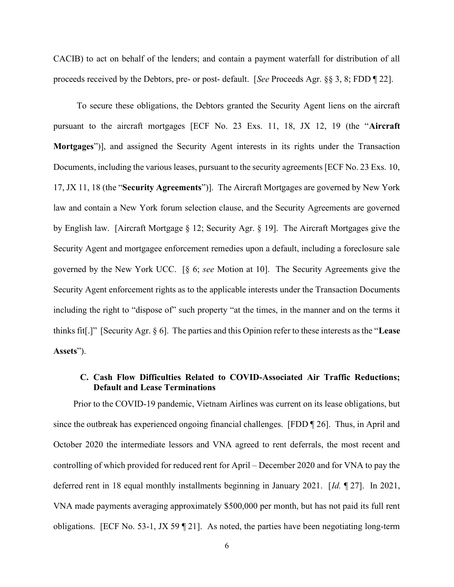CACIB) to act on behalf of the lenders; and contain a payment waterfall for distribution of all proceeds received by the Debtors, pre- or post- default. [See Proceeds Agr. §§ 3, 8; FDD ¶ 22].

To secure these obligations, the Debtors granted the Security Agent liens on the aircraft pursuant to the aircraft mortgages [ECF No. 23 Exs. 11, 18, JX 12, 19 (the "Aircraft Mortgages")], and assigned the Security Agent interests in its rights under the Transaction Documents, including the various leases, pursuant to the security agreements [ECF No. 23 Exs. 10, 17, JX 11, 18 (the "Security Agreements")]. The Aircraft Mortgages are governed by New York law and contain a New York forum selection clause, and the Security Agreements are governed by English law. [Aircraft Mortgage § 12; Security Agr. § 19]. The Aircraft Mortgages give the Security Agent and mortgagee enforcement remedies upon a default, including a foreclosure sale governed by the New York UCC. [§ 6; see Motion at 10]. The Security Agreements give the Security Agent enforcement rights as to the applicable interests under the Transaction Documents including the right to "dispose of" such property "at the times, in the manner and on the terms it thinks fit[.]" [Security Agr. § 6]. The parties and this Opinion refer to these interests as the "Lease Assets").

# C. Cash Flow Difficulties Related to COVID-Associated Air Traffic Reductions; Default and Lease Terminations

Prior to the COVID-19 pandemic, Vietnam Airlines was current on its lease obligations, but since the outbreak has experienced ongoing financial challenges. [FDD ¶ 26]. Thus, in April and October 2020 the intermediate lessors and VNA agreed to rent deferrals, the most recent and controlling of which provided for reduced rent for April – December 2020 and for VNA to pay the deferred rent in 18 equal monthly installments beginning in January 2021. [Id. ¶ 27]. In 2021, VNA made payments averaging approximately \$500,000 per month, but has not paid its full rent obligations. [ECF No. 53-1, JX 59 ¶ 21]. As noted, the parties have been negotiating long-term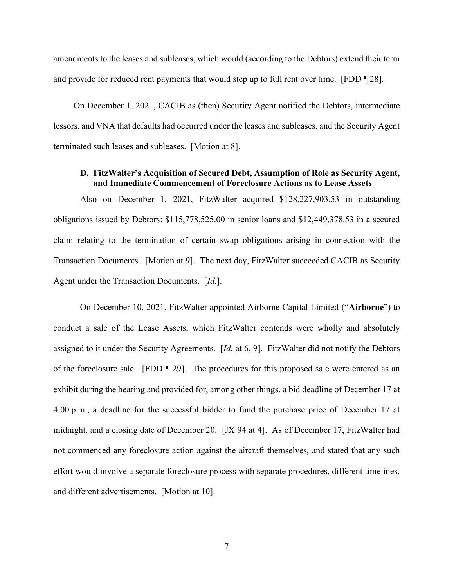amendments to the leases and subleases, which would (according to the Debtors) extend their term and provide for reduced rent payments that would step up to full rent over time. [FDD [28].

On December 1, 2021, CACIB as (then) Security Agent notified the Debtors, intermediate lessors, and VNA that defaults had occurred under the leases and subleases, and the Security Agent terminated such leases and subleases. [Motion at 8].

# D. FitzWalter's Acquisition of Secured Debt, Assumption of Role as Security Agent, and Immediate Commencement of Foreclosure Actions as to Lease Assets

Also on December 1, 2021, FitzWalter acquired \$128,227,903.53 in outstanding obligations issued by Debtors: \$115,778,525.00 in senior loans and \$12,449,378.53 in a secured claim relating to the termination of certain swap obligations arising in connection with the Transaction Documents. [Motion at 9]. The next day, FitzWalter succeeded CACIB as Security Agent under the Transaction Documents. [Id.].

On December 10, 2021, FitzWalter appointed Airborne Capital Limited ("Airborne") to conduct a sale of the Lease Assets, which FitzWalter contends were wholly and absolutely assigned to it under the Security Agreements. [Id. at 6, 9]. FitzWalter did not notify the Debtors of the foreclosure sale. [FDD ¶ 29]. The procedures for this proposed sale were entered as an exhibit during the hearing and provided for, among other things, a bid deadline of December 17 at 4:00 p.m., a deadline for the successful bidder to fund the purchase price of December 17 at midnight, and a closing date of December 20. [JX 94 at 4]. As of December 17, FitzWalter had not commenced any foreclosure action against the aircraft themselves, and stated that any such effort would involve a separate foreclosure process with separate procedures, different timelines, and different advertisements. [Motion at 10].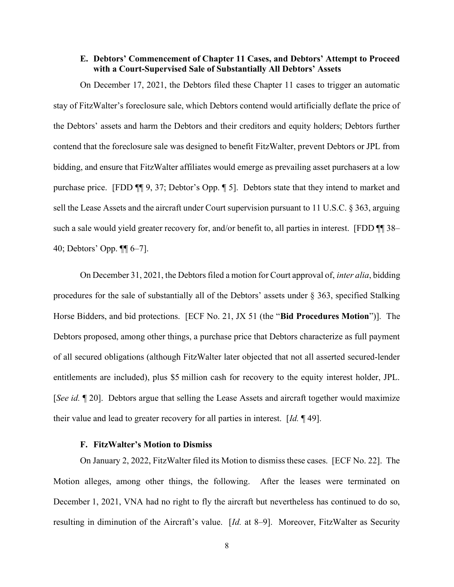## E. Debtors' Commencement of Chapter 11 Cases, and Debtors' Attempt to Proceed with a Court-Supervised Sale of Substantially All Debtors' Assets

On December 17, 2021, the Debtors filed these Chapter 11 cases to trigger an automatic stay of FitzWalter's foreclosure sale, which Debtors contend would artificially deflate the price of the Debtors' assets and harm the Debtors and their creditors and equity holders; Debtors further contend that the foreclosure sale was designed to benefit FitzWalter, prevent Debtors or JPL from bidding, and ensure that FitzWalter affiliates would emerge as prevailing asset purchasers at a low purchase price. [FDD ¶¶ 9, 37; Debtor's Opp. ¶ 5]. Debtors state that they intend to market and sell the Lease Assets and the aircraft under Court supervision pursuant to 11 U.S.C. § 363, arguing such a sale would yield greater recovery for, and/or benefit to, all parties in interest. [FDD ¶¶ 38– 40; Debtors' Opp. ¶¶ 6–7].

On December 31, 2021, the Debtors filed a motion for Court approval of, inter alia, bidding procedures for the sale of substantially all of the Debtors' assets under § 363, specified Stalking Horse Bidders, and bid protections. [ECF No. 21, JX 51 (the "Bid Procedures Motion")]. The Debtors proposed, among other things, a purchase price that Debtors characterize as full payment of all secured obligations (although FitzWalter later objected that not all asserted secured-lender entitlements are included), plus \$5 million cash for recovery to the equity interest holder, JPL. [See id. ¶ 20]. Debtors argue that selling the Lease Assets and aircraft together would maximize their value and lead to greater recovery for all parties in interest.  $\left[ Id. \right]$  [49].

#### F. FitzWalter's Motion to Dismiss

On January 2, 2022, FitzWalter filed its Motion to dismiss these cases. [ECF No. 22]. The Motion alleges, among other things, the following. After the leases were terminated on December 1, 2021, VNA had no right to fly the aircraft but nevertheless has continued to do so, resulting in diminution of the Aircraft's value. [Id. at 8–9]. Moreover, FitzWalter as Security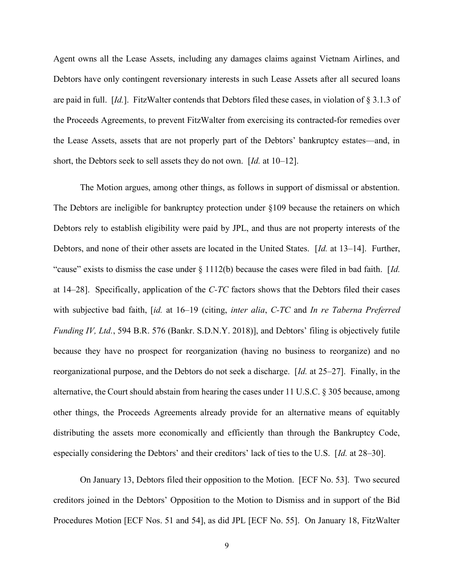Agent owns all the Lease Assets, including any damages claims against Vietnam Airlines, and Debtors have only contingent reversionary interests in such Lease Assets after all secured loans are paid in full. [Id.]. FitzWalter contends that Debtors filed these cases, in violation of § 3.1.3 of the Proceeds Agreements, to prevent FitzWalter from exercising its contracted-for remedies over the Lease Assets, assets that are not properly part of the Debtors' bankruptcy estates—and, in short, the Debtors seek to sell assets they do not own. [Id. at 10–12].

The Motion argues, among other things, as follows in support of dismissal or abstention. The Debtors are ineligible for bankruptcy protection under §109 because the retainers on which Debtors rely to establish eligibility were paid by JPL, and thus are not property interests of the Debtors, and none of their other assets are located in the United States. [Id. at 13–14]. Further, "cause" exists to dismiss the case under  $\S 1112(b)$  because the cases were filed in bad faith. [Id. at  $14-28$ ]. Specifically, application of the C-TC factors shows that the Debtors filed their cases with subjective bad faith, [id. at 16–19 (citing, inter alia, C-TC and In re Taberna Preferred Funding IV, Ltd., 594 B.R. 576 (Bankr. S.D.N.Y. 2018)], and Debtors' filing is objectively futile because they have no prospect for reorganization (having no business to reorganize) and no reorganizational purpose, and the Debtors do not seek a discharge. [Id. at 25–27]. Finally, in the alternative, the Court should abstain from hearing the cases under 11 U.S.C. § 305 because, among other things, the Proceeds Agreements already provide for an alternative means of equitably distributing the assets more economically and efficiently than through the Bankruptcy Code, especially considering the Debtors' and their creditors' lack of ties to the U.S. [Id. at 28–30].

On January 13, Debtors filed their opposition to the Motion. [ECF No. 53]. Two secured creditors joined in the Debtors' Opposition to the Motion to Dismiss and in support of the Bid Procedures Motion [ECF Nos. 51 and 54], as did JPL [ECF No. 55]. On January 18, FitzWalter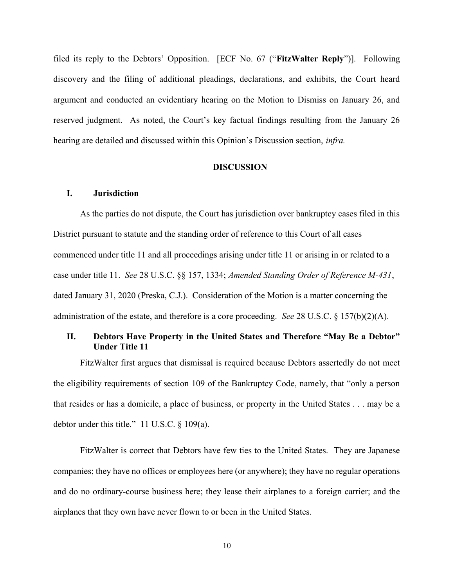filed its reply to the Debtors' Opposition. [ECF No. 67 ("FitzWalter Reply")]. Following discovery and the filing of additional pleadings, declarations, and exhibits, the Court heard argument and conducted an evidentiary hearing on the Motion to Dismiss on January 26, and reserved judgment. As noted, the Court's key factual findings resulting from the January 26 hearing are detailed and discussed within this Opinion's Discussion section, infra.

### DISCUSSION

## I. Jurisdiction

As the parties do not dispute, the Court has jurisdiction over bankruptcy cases filed in this District pursuant to statute and the standing order of reference to this Court of all cases commenced under title 11 and all proceedings arising under title 11 or arising in or related to a case under title 11. See 28 U.S.C. §§ 157, 1334; Amended Standing Order of Reference M-431, dated January 31, 2020 (Preska, C.J.). Consideration of the Motion is a matter concerning the administration of the estate, and therefore is a core proceeding. See 28 U.S.C. § 157(b)(2)(A).

## II. Debtors Have Property in the United States and Therefore "May Be a Debtor" Under Title 11

FitzWalter first argues that dismissal is required because Debtors assertedly do not meet the eligibility requirements of section 109 of the Bankruptcy Code, namely, that "only a person that resides or has a domicile, a place of business, or property in the United States . . . may be a debtor under this title." 11 U.S.C. § 109(a).

FitzWalter is correct that Debtors have few ties to the United States. They are Japanese companies; they have no offices or employees here (or anywhere); they have no regular operations and do no ordinary-course business here; they lease their airplanes to a foreign carrier; and the airplanes that they own have never flown to or been in the United States.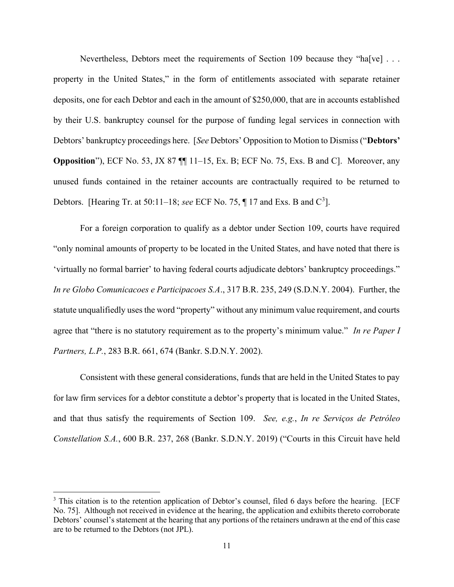Nevertheless, Debtors meet the requirements of Section 109 because they "ha[ve] . . . property in the United States," in the form of entitlements associated with separate retainer deposits, one for each Debtor and each in the amount of \$250,000, that are in accounts established by their U.S. bankruptcy counsel for the purpose of funding legal services in connection with Debtors' bankruptcy proceedings here. [See Debtors' Opposition to Motion to Dismiss ("Debtors' Opposition"), ECF No. 53, JX 87 ¶¶ 11–15, Ex. B; ECF No. 75, Exs. B and C]. Moreover, any unused funds contained in the retainer accounts are contractually required to be returned to Debtors. [Hearing Tr. at 50:11–18; see ECF No. 75,  $\P$  17 and Exs. B and C<sup>3</sup>].

For a foreign corporation to qualify as a debtor under Section 109, courts have required "only nominal amounts of property to be located in the United States, and have noted that there is 'virtually no formal barrier' to having federal courts adjudicate debtors' bankruptcy proceedings." In re Globo Comunicacoes e Participacoes S.A., 317 B.R. 235, 249 (S.D.N.Y. 2004). Further, the statute unqualifiedly uses the word "property" without any minimum value requirement, and courts agree that "there is no statutory requirement as to the property's minimum value." In re Paper I Partners, L.P., 283 B.R. 661, 674 (Bankr. S.D.N.Y. 2002).

Consistent with these general considerations, funds that are held in the United States to pay for law firm services for a debtor constitute a debtor's property that is located in the United States, and that thus satisfy the requirements of Section 109. See, e.g., In re Serviços de Petróleo Constellation S.A., 600 B.R. 237, 268 (Bankr. S.D.N.Y. 2019) ("Courts in this Circuit have held

<sup>&</sup>lt;sup>3</sup> This citation is to the retention application of Debtor's counsel, filed 6 days before the hearing. [ECF No. 75]. Although not received in evidence at the hearing, the application and exhibits thereto corroborate Debtors' counsel's statement at the hearing that any portions of the retainers undrawn at the end of this case are to be returned to the Debtors (not JPL).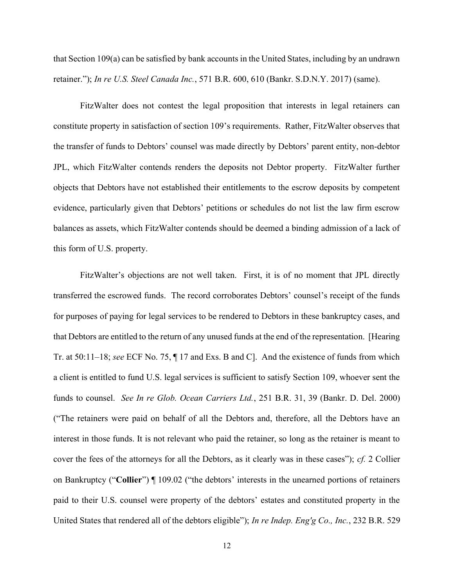that Section 109(a) can be satisfied by bank accounts in the United States, including by an undrawn retainer."); In re U.S. Steel Canada Inc., 571 B.R. 600, 610 (Bankr. S.D.N.Y. 2017) (same).

FitzWalter does not contest the legal proposition that interests in legal retainers can constitute property in satisfaction of section 109's requirements. Rather, FitzWalter observes that the transfer of funds to Debtors' counsel was made directly by Debtors' parent entity, non-debtor JPL, which FitzWalter contends renders the deposits not Debtor property. FitzWalter further objects that Debtors have not established their entitlements to the escrow deposits by competent evidence, particularly given that Debtors' petitions or schedules do not list the law firm escrow balances as assets, which FitzWalter contends should be deemed a binding admission of a lack of this form of U.S. property.

FitzWalter's objections are not well taken. First, it is of no moment that JPL directly transferred the escrowed funds. The record corroborates Debtors' counsel's receipt of the funds for purposes of paying for legal services to be rendered to Debtors in these bankruptcy cases, and that Debtors are entitled to the return of any unused funds at the end of the representation. [Hearing Tr. at 50:11–18; see ECF No. 75, ¶ 17 and Exs. B and C]. And the existence of funds from which a client is entitled to fund U.S. legal services is sufficient to satisfy Section 109, whoever sent the funds to counsel. See In re Glob. Ocean Carriers Ltd., 251 B.R. 31, 39 (Bankr. D. Del. 2000) ("The retainers were paid on behalf of all the Debtors and, therefore, all the Debtors have an interest in those funds. It is not relevant who paid the retainer, so long as the retainer is meant to cover the fees of the attorneys for all the Debtors, as it clearly was in these cases");  $cf. 2$  Collier on Bankruptcy ("Collier") ¶ 109.02 ("the debtors' interests in the unearned portions of retainers paid to their U.S. counsel were property of the debtors' estates and constituted property in the United States that rendered all of the debtors eligible"); In re Indep. Eng'g Co., Inc., 232 B.R. 529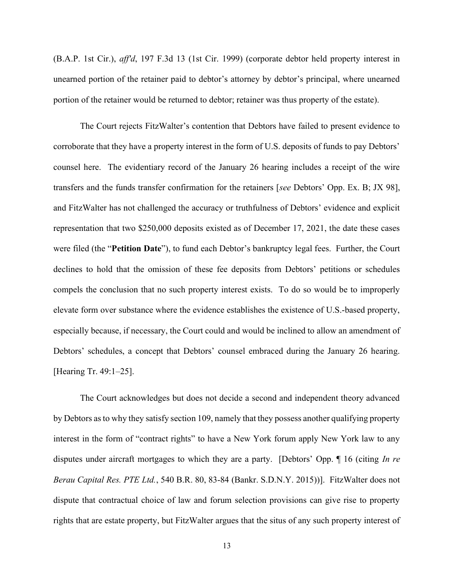(B.A.P. 1st Cir.), aff'd, 197 F.3d 13 (1st Cir. 1999) (corporate debtor held property interest in unearned portion of the retainer paid to debtor's attorney by debtor's principal, where unearned portion of the retainer would be returned to debtor; retainer was thus property of the estate).

The Court rejects FitzWalter's contention that Debtors have failed to present evidence to corroborate that they have a property interest in the form of U.S. deposits of funds to pay Debtors' counsel here. The evidentiary record of the January 26 hearing includes a receipt of the wire transfers and the funds transfer confirmation for the retainers [see Debtors' Opp. Ex. B; JX 98], and FitzWalter has not challenged the accuracy or truthfulness of Debtors' evidence and explicit representation that two \$250,000 deposits existed as of December 17, 2021, the date these cases were filed (the "Petition Date"), to fund each Debtor's bankruptcy legal fees. Further, the Court declines to hold that the omission of these fee deposits from Debtors' petitions or schedules compels the conclusion that no such property interest exists. To do so would be to improperly elevate form over substance where the evidence establishes the existence of U.S.-based property, especially because, if necessary, the Court could and would be inclined to allow an amendment of Debtors' schedules, a concept that Debtors' counsel embraced during the January 26 hearing. [Hearing Tr. 49:1-25].

The Court acknowledges but does not decide a second and independent theory advanced by Debtors as to why they satisfy section 109, namely that they possess another qualifying property interest in the form of "contract rights" to have a New York forum apply New York law to any disputes under aircraft mortgages to which they are a party. [Debtors' Opp. 16 (citing In re Berau Capital Res. PTE Ltd., 540 B.R. 80, 83-84 (Bankr. S.D.N.Y. 2015))]. FitzWalter does not dispute that contractual choice of law and forum selection provisions can give rise to property rights that are estate property, but FitzWalter argues that the situs of any such property interest of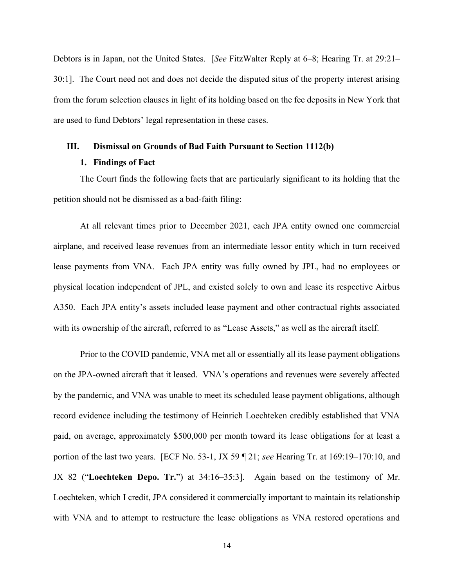Debtors is in Japan, not the United States. [See FitzWalter Reply at 6–8; Hearing Tr. at 29:21– 30:1]. The Court need not and does not decide the disputed situs of the property interest arising from the forum selection clauses in light of its holding based on the fee deposits in New York that are used to fund Debtors' legal representation in these cases.

### III. Dismissal on Grounds of Bad Faith Pursuant to Section 1112(b)

### 1. Findings of Fact

The Court finds the following facts that are particularly significant to its holding that the petition should not be dismissed as a bad-faith filing:

At all relevant times prior to December 2021, each JPA entity owned one commercial airplane, and received lease revenues from an intermediate lessor entity which in turn received lease payments from VNA. Each JPA entity was fully owned by JPL, had no employees or physical location independent of JPL, and existed solely to own and lease its respective Airbus A350. Each JPA entity's assets included lease payment and other contractual rights associated with its ownership of the aircraft, referred to as "Lease Assets," as well as the aircraft itself.

Prior to the COVID pandemic, VNA met all or essentially all its lease payment obligations on the JPA-owned aircraft that it leased. VNA's operations and revenues were severely affected by the pandemic, and VNA was unable to meet its scheduled lease payment obligations, although record evidence including the testimony of Heinrich Loechteken credibly established that VNA paid, on average, approximately \$500,000 per month toward its lease obligations for at least a portion of the last two years. [ECF No. 53-1, JX 59 ¶ 21; see Hearing Tr. at 169:19–170:10, and JX 82 ("Loechteken Depo. Tr.") at 34:16–35:3]. Again based on the testimony of Mr. Loechteken, which I credit, JPA considered it commercially important to maintain its relationship with VNA and to attempt to restructure the lease obligations as VNA restored operations and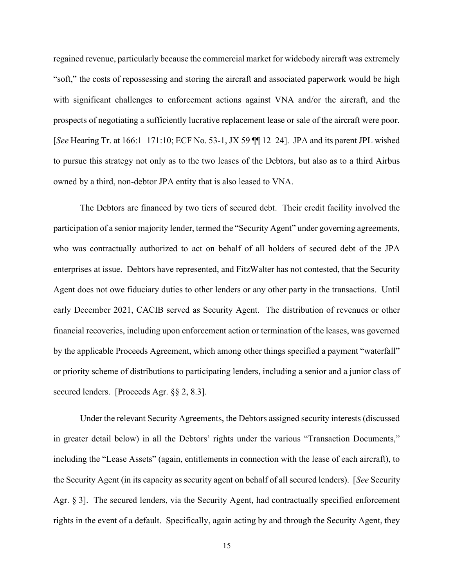regained revenue, particularly because the commercial market for widebody aircraft was extremely "soft," the costs of repossessing and storing the aircraft and associated paperwork would be high with significant challenges to enforcement actions against VNA and/or the aircraft, and the prospects of negotiating a sufficiently lucrative replacement lease or sale of the aircraft were poor. [See Hearing Tr. at 166:1–171:10; ECF No. 53-1, JX 59 ¶¶ 12–24]. JPA and its parent JPL wished to pursue this strategy not only as to the two leases of the Debtors, but also as to a third Airbus owned by a third, non-debtor JPA entity that is also leased to VNA.

The Debtors are financed by two tiers of secured debt. Their credit facility involved the participation of a senior majority lender, termed the "Security Agent" under governing agreements, who was contractually authorized to act on behalf of all holders of secured debt of the JPA enterprises at issue. Debtors have represented, and FitzWalter has not contested, that the Security Agent does not owe fiduciary duties to other lenders or any other party in the transactions. Until early December 2021, CACIB served as Security Agent. The distribution of revenues or other financial recoveries, including upon enforcement action or termination of the leases, was governed by the applicable Proceeds Agreement, which among other things specified a payment "waterfall" or priority scheme of distributions to participating lenders, including a senior and a junior class of secured lenders. [Proceeds Agr. §§ 2, 8.3].

Under the relevant Security Agreements, the Debtors assigned security interests (discussed in greater detail below) in all the Debtors' rights under the various "Transaction Documents," including the "Lease Assets" (again, entitlements in connection with the lease of each aircraft), to the Security Agent (in its capacity as security agent on behalf of all secured lenders). [See Security Agr. § 3]. The secured lenders, via the Security Agent, had contractually specified enforcement rights in the event of a default. Specifically, again acting by and through the Security Agent, they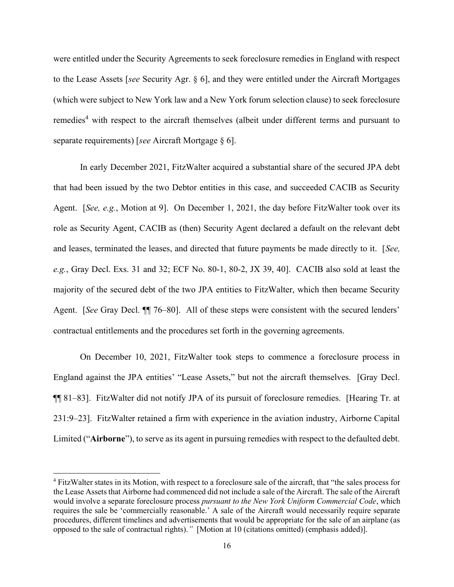were entitled under the Security Agreements to seek foreclosure remedies in England with respect to the Lease Assets [see Security Agr. § 6], and they were entitled under the Aircraft Mortgages (which were subject to New York law and a New York forum selection clause) to seek foreclosure remedies<sup>4</sup> with respect to the aircraft themselves (albeit under different terms and pursuant to separate requirements) [see Aircraft Mortgage § 6].

In early December 2021, FitzWalter acquired a substantial share of the secured JPA debt that had been issued by the two Debtor entities in this case, and succeeded CACIB as Security Agent. [See, e.g., Motion at 9]. On December 1, 2021, the day before FitzWalter took over its role as Security Agent, CACIB as (then) Security Agent declared a default on the relevant debt and leases, terminated the leases, and directed that future payments be made directly to it. [See, e.g., Gray Decl. Exs. 31 and 32; ECF No. 80-1, 80-2, JX 39, 40]. CACIB also sold at least the majority of the secured debt of the two JPA entities to FitzWalter, which then became Security Agent. [See Gray Decl.  $\P$ ] 76–80]. All of these steps were consistent with the secured lenders' contractual entitlements and the procedures set forth in the governing agreements.

On December 10, 2021, FitzWalter took steps to commence a foreclosure process in England against the JPA entities' "Lease Assets," but not the aircraft themselves. [Gray Decl. ¶¶ 81–83]. FitzWalter did not notify JPA of its pursuit of foreclosure remedies. [Hearing Tr. at 231:9–23]. FitzWalter retained a firm with experience in the aviation industry, Airborne Capital Limited ("Airborne"), to serve as its agent in pursuing remedies with respect to the defaulted debt.

<sup>&</sup>lt;sup>4</sup> FitzWalter states in its Motion, with respect to a foreclosure sale of the aircraft, that "the sales process for the Lease Assets that Airborne had commenced did not include a sale of the Aircraft. The sale of the Aircraft would involve a separate foreclosure process pursuant to the New York Uniform Commercial Code, which requires the sale be 'commercially reasonable.' A sale of the Aircraft would necessarily require separate procedures, different timelines and advertisements that would be appropriate for the sale of an airplane (as opposed to the sale of contractual rights)." [Motion at 10 (citations omitted) (emphasis added)].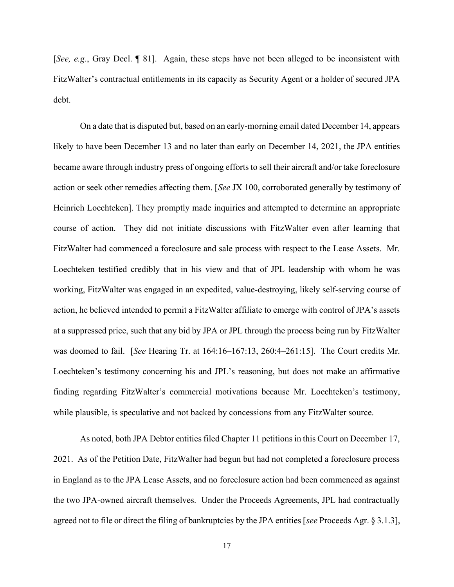[See, e.g., Gray Decl. ¶ 81]. Again, these steps have not been alleged to be inconsistent with FitzWalter's contractual entitlements in its capacity as Security Agent or a holder of secured JPA debt.

On a date that is disputed but, based on an early-morning email dated December 14, appears likely to have been December 13 and no later than early on December 14, 2021, the JPA entities became aware through industry press of ongoing efforts to sell their aircraft and/or take foreclosure action or seek other remedies affecting them. [See JX 100, corroborated generally by testimony of Heinrich Loechteken]. They promptly made inquiries and attempted to determine an appropriate course of action. They did not initiate discussions with FitzWalter even after learning that FitzWalter had commenced a foreclosure and sale process with respect to the Lease Assets. Mr. Loechteken testified credibly that in his view and that of JPL leadership with whom he was working, FitzWalter was engaged in an expedited, value-destroying, likely self-serving course of action, he believed intended to permit a FitzWalter affiliate to emerge with control of JPA's assets at a suppressed price, such that any bid by JPA or JPL through the process being run by FitzWalter was doomed to fail. [See Hearing Tr. at 164:16–167:13, 260:4–261:15]. The Court credits Mr. Loechteken's testimony concerning his and JPL's reasoning, but does not make an affirmative finding regarding FitzWalter's commercial motivations because Mr. Loechteken's testimony, while plausible, is speculative and not backed by concessions from any FitzWalter source.

As noted, both JPA Debtor entities filed Chapter 11 petitions in this Court on December 17, 2021. As of the Petition Date, FitzWalter had begun but had not completed a foreclosure process in England as to the JPA Lease Assets, and no foreclosure action had been commenced as against the two JPA-owned aircraft themselves. Under the Proceeds Agreements, JPL had contractually agreed not to file or direct the filing of bankruptcies by the JPA entities [see Proceeds Agr. § 3.1.3],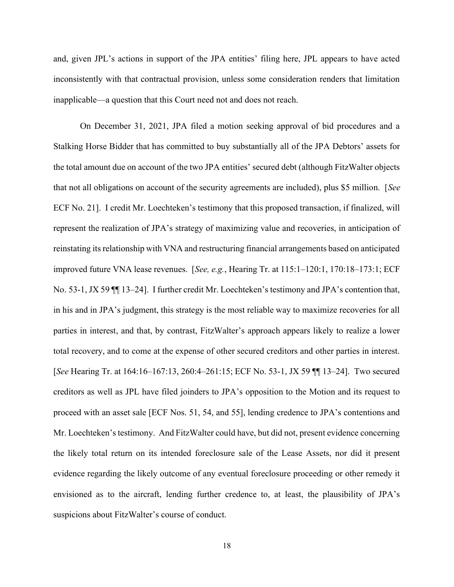and, given JPL's actions in support of the JPA entities' filing here, JPL appears to have acted inconsistently with that contractual provision, unless some consideration renders that limitation inapplicable—a question that this Court need not and does not reach.

On December 31, 2021, JPA filed a motion seeking approval of bid procedures and a Stalking Horse Bidder that has committed to buy substantially all of the JPA Debtors' assets for the total amount due on account of the two JPA entities' secured debt (although FitzWalter objects that not all obligations on account of the security agreements are included), plus \$5 million. [See ECF No. 21]. I credit Mr. Loechteken's testimony that this proposed transaction, if finalized, will represent the realization of JPA's strategy of maximizing value and recoveries, in anticipation of reinstating its relationship with VNA and restructuring financial arrangements based on anticipated improved future VNA lease revenues. [See, e.g., Hearing Tr. at 115:1–120:1, 170:18–173:1; ECF No. 53-1, JX 59 ¶¶ 13–24]. I further credit Mr. Loechteken's testimony and JPA's contention that, in his and in JPA's judgment, this strategy is the most reliable way to maximize recoveries for all parties in interest, and that, by contrast, FitzWalter's approach appears likely to realize a lower total recovery, and to come at the expense of other secured creditors and other parties in interest. [See Hearing Tr. at 164:16–167:13, 260:4–261:15; ECF No. 53-1, JX 59 ¶¶ 13–24]. Two secured creditors as well as JPL have filed joinders to JPA's opposition to the Motion and its request to proceed with an asset sale [ECF Nos. 51, 54, and 55], lending credence to JPA's contentions and Mr. Loechteken's testimony. And FitzWalter could have, but did not, present evidence concerning the likely total return on its intended foreclosure sale of the Lease Assets, nor did it present evidence regarding the likely outcome of any eventual foreclosure proceeding or other remedy it envisioned as to the aircraft, lending further credence to, at least, the plausibility of JPA's suspicions about FitzWalter's course of conduct.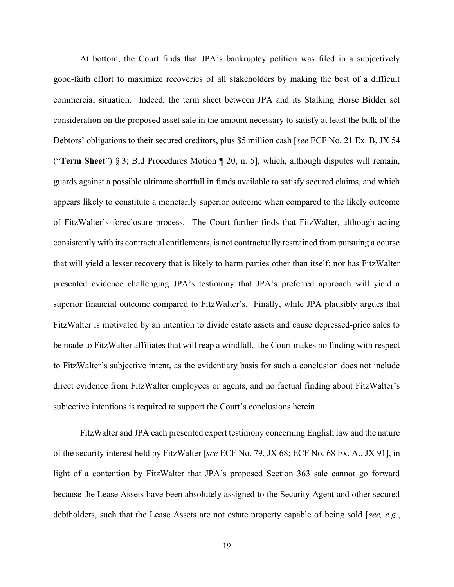At bottom, the Court finds that JPA's bankruptcy petition was filed in a subjectively good-faith effort to maximize recoveries of all stakeholders by making the best of a difficult commercial situation. Indeed, the term sheet between JPA and its Stalking Horse Bidder set consideration on the proposed asset sale in the amount necessary to satisfy at least the bulk of the Debtors' obligations to their secured creditors, plus \$5 million cash [see ECF No. 21 Ex. B, JX 54 ("Term Sheet") § 3; Bid Procedures Motion ¶ 20, n. 5], which, although disputes will remain, guards against a possible ultimate shortfall in funds available to satisfy secured claims, and which appears likely to constitute a monetarily superior outcome when compared to the likely outcome of FitzWalter's foreclosure process. The Court further finds that FitzWalter, although acting consistently with its contractual entitlements, is not contractually restrained from pursuing a course that will yield a lesser recovery that is likely to harm parties other than itself; nor has FitzWalter presented evidence challenging JPA's testimony that JPA's preferred approach will yield a superior financial outcome compared to FitzWalter's. Finally, while JPA plausibly argues that FitzWalter is motivated by an intention to divide estate assets and cause depressed-price sales to be made to FitzWalter affiliates that will reap a windfall, the Court makes no finding with respect to FitzWalter's subjective intent, as the evidentiary basis for such a conclusion does not include direct evidence from FitzWalter employees or agents, and no factual finding about FitzWalter's subjective intentions is required to support the Court's conclusions herein.

FitzWalter and JPA each presented expert testimony concerning English law and the nature of the security interest held by FitzWalter [see ECF No. 79, JX 68; ECF No. 68 Ex. A., JX 91], in light of a contention by FitzWalter that JPA's proposed Section 363 sale cannot go forward because the Lease Assets have been absolutely assigned to the Security Agent and other secured debtholders, such that the Lease Assets are not estate property capable of being sold [see, e.g.,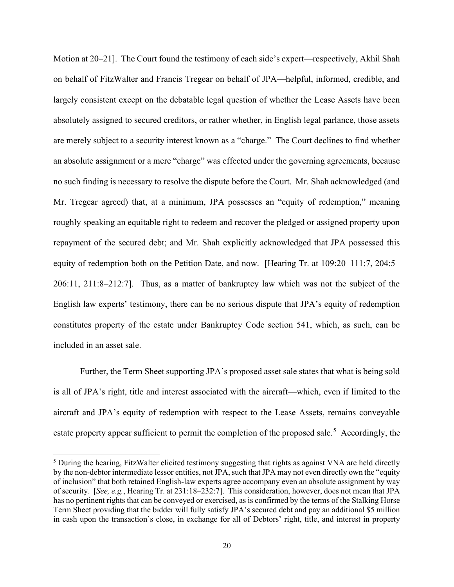Motion at 20–21]. The Court found the testimony of each side's expert—respectively, Akhil Shah on behalf of FitzWalter and Francis Tregear on behalf of JPA—helpful, informed, credible, and largely consistent except on the debatable legal question of whether the Lease Assets have been absolutely assigned to secured creditors, or rather whether, in English legal parlance, those assets are merely subject to a security interest known as a "charge." The Court declines to find whether an absolute assignment or a mere "charge" was effected under the governing agreements, because no such finding is necessary to resolve the dispute before the Court. Mr. Shah acknowledged (and Mr. Tregear agreed) that, at a minimum, JPA possesses an "equity of redemption," meaning roughly speaking an equitable right to redeem and recover the pledged or assigned property upon repayment of the secured debt; and Mr. Shah explicitly acknowledged that JPA possessed this equity of redemption both on the Petition Date, and now. [Hearing Tr. at 109:20–111:7, 204:5– 206:11, 211:8–212:7]. Thus, as a matter of bankruptcy law which was not the subject of the English law experts' testimony, there can be no serious dispute that JPA's equity of redemption constitutes property of the estate under Bankruptcy Code section 541, which, as such, can be included in an asset sale.

Further, the Term Sheet supporting JPA's proposed asset sale states that what is being sold is all of JPA's right, title and interest associated with the aircraft—which, even if limited to the aircraft and JPA's equity of redemption with respect to the Lease Assets, remains conveyable estate property appear sufficient to permit the completion of the proposed sale.<sup>5</sup> Accordingly, the

<sup>&</sup>lt;sup>5</sup> During the hearing, FitzWalter elicited testimony suggesting that rights as against VNA are held directly by the non-debtor intermediate lessor entities, not JPA, such that JPA may not even directly own the "equity of inclusion" that both retained English-law experts agree accompany even an absolute assignment by way of security. [See, e.g., Hearing Tr. at 231:18–232:7]. This consideration, however, does not mean that JPA has no pertinent rights that can be conveyed or exercised, as is confirmed by the terms of the Stalking Horse Term Sheet providing that the bidder will fully satisfy JPA's secured debt and pay an additional \$5 million in cash upon the transaction's close, in exchange for all of Debtors' right, title, and interest in property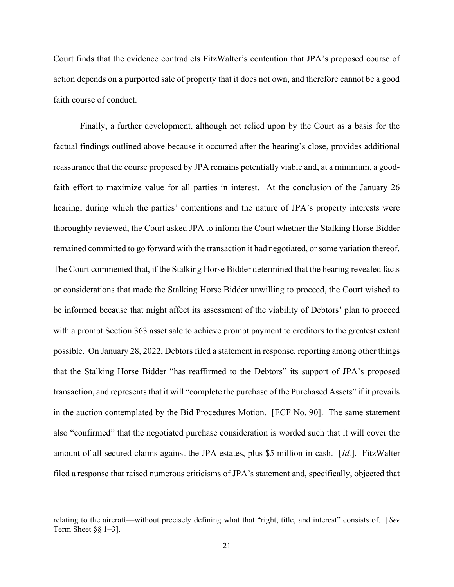Court finds that the evidence contradicts FitzWalter's contention that JPA's proposed course of action depends on a purported sale of property that it does not own, and therefore cannot be a good faith course of conduct.

Finally, a further development, although not relied upon by the Court as a basis for the factual findings outlined above because it occurred after the hearing's close, provides additional reassurance that the course proposed by JPA remains potentially viable and, at a minimum, a goodfaith effort to maximize value for all parties in interest. At the conclusion of the January 26 hearing, during which the parties' contentions and the nature of JPA's property interests were thoroughly reviewed, the Court asked JPA to inform the Court whether the Stalking Horse Bidder remained committed to go forward with the transaction it had negotiated, or some variation thereof. The Court commented that, if the Stalking Horse Bidder determined that the hearing revealed facts or considerations that made the Stalking Horse Bidder unwilling to proceed, the Court wished to be informed because that might affect its assessment of the viability of Debtors' plan to proceed with a prompt Section 363 asset sale to achieve prompt payment to creditors to the greatest extent possible. On January 28, 2022, Debtors filed a statement in response, reporting among other things that the Stalking Horse Bidder "has reaffirmed to the Debtors" its support of JPA's proposed transaction, and represents that it will "complete the purchase of the Purchased Assets" if it prevails in the auction contemplated by the Bid Procedures Motion. [ECF No. 90]. The same statement also "confirmed" that the negotiated purchase consideration is worded such that it will cover the amount of all secured claims against the JPA estates, plus \$5 million in cash. [Id.]. FitzWalter filed a response that raised numerous criticisms of JPA's statement and, specifically, objected that

relating to the aircraft—without precisely defining what that "right, title, and interest" consists of. [See Term Sheet  $\S\S 1-3$ .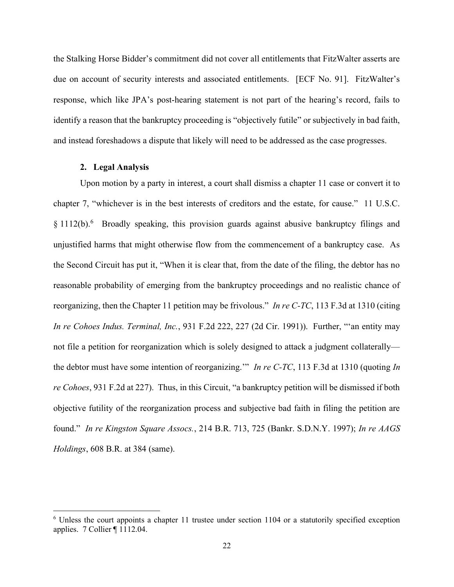the Stalking Horse Bidder's commitment did not cover all entitlements that FitzWalter asserts are due on account of security interests and associated entitlements. [ECF No. 91]. FitzWalter's response, which like JPA's post-hearing statement is not part of the hearing's record, fails to identify a reason that the bankruptcy proceeding is "objectively futile" or subjectively in bad faith, and instead foreshadows a dispute that likely will need to be addressed as the case progresses.

# 2. Legal Analysis

Upon motion by a party in interest, a court shall dismiss a chapter 11 case or convert it to chapter 7, "whichever is in the best interests of creditors and the estate, for cause." 11 U.S.C. § 1112(b).<sup>6</sup> Broadly speaking, this provision guards against abusive bankruptcy filings and unjustified harms that might otherwise flow from the commencement of a bankruptcy case. As the Second Circuit has put it, "When it is clear that, from the date of the filing, the debtor has no reasonable probability of emerging from the bankruptcy proceedings and no realistic chance of reorganizing, then the Chapter 11 petition may be frivolous." In re C-TC, 113 F.3d at 1310 (citing In re Cohoes Indus. Terminal, Inc., 931 F.2d 222, 227 (2d Cir. 1991)). Further, "'an entity may not file a petition for reorganization which is solely designed to attack a judgment collaterally the debtor must have some intention of reorganizing." In re C-TC, 113 F.3d at 1310 (quoting In re Cohoes, 931 F.2d at 227). Thus, in this Circuit, "a bankruptcy petition will be dismissed if both objective futility of the reorganization process and subjective bad faith in filing the petition are found." In re Kingston Square Assocs., 214 B.R. 713, 725 (Bankr. S.D.N.Y. 1997); In re AAGS Holdings, 608 B.R. at 384 (same).

<sup>&</sup>lt;sup>6</sup> Unless the court appoints a chapter 11 trustee under section 1104 or a statutorily specified exception applies. 7 Collier ¶ 1112.04.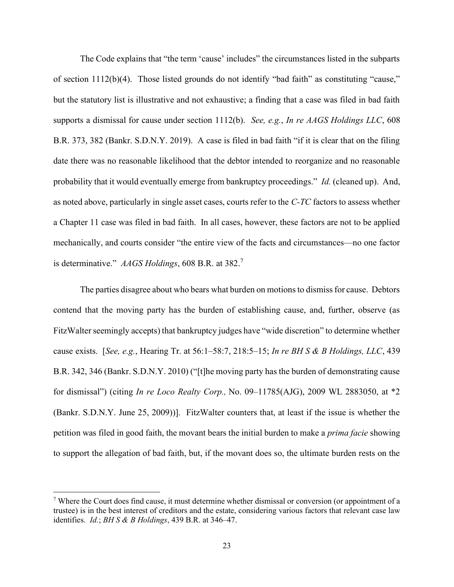The Code explains that "the term 'cause' includes" the circumstances listed in the subparts of section 1112(b)(4). Those listed grounds do not identify "bad faith" as constituting "cause," but the statutory list is illustrative and not exhaustive; a finding that a case was filed in bad faith supports a dismissal for cause under section 1112(b). See, e.g., In re AAGS Holdings LLC, 608 B.R. 373, 382 (Bankr. S.D.N.Y. 2019). A case is filed in bad faith "if it is clear that on the filing date there was no reasonable likelihood that the debtor intended to reorganize and no reasonable probability that it would eventually emerge from bankruptcy proceedings." Id. (cleaned up). And, as noted above, particularly in single asset cases, courts refer to the C-TC factors to assess whether a Chapter 11 case was filed in bad faith. In all cases, however, these factors are not to be applied mechanically, and courts consider "the entire view of the facts and circumstances—no one factor is determinative."  $AAGS$  Holdings, 608 B.R. at 382.<sup>7</sup>

The parties disagree about who bears what burden on motions to dismiss for cause. Debtors contend that the moving party has the burden of establishing cause, and, further, observe (as FitzWalter seemingly accepts) that bankruptcy judges have "wide discretion" to determine whether cause exists. [See, e.g., Hearing Tr. at  $56:1-58:7$ ,  $218:5-15$ ; In re BH S & B Holdings, LLC, 439 B.R. 342, 346 (Bankr. S.D.N.Y. 2010) ("[t]he moving party has the burden of demonstrating cause for dismissal") (citing In re Loco Realty Corp., No. 09–11785(AJG), 2009 WL 2883050, at \*2 (Bankr. S.D.N.Y. June 25, 2009))]. FitzWalter counters that, at least if the issue is whether the petition was filed in good faith, the movant bears the initial burden to make a prima facie showing to support the allegation of bad faith, but, if the movant does so, the ultimate burden rests on the

<sup>&</sup>lt;sup>7</sup> Where the Court does find cause, it must determine whether dismissal or conversion (or appointment of a trustee) is in the best interest of creditors and the estate, considering various factors that relevant case law identifies.  $Id$ : BH S & B Holdings, 439 B.R. at 346–47.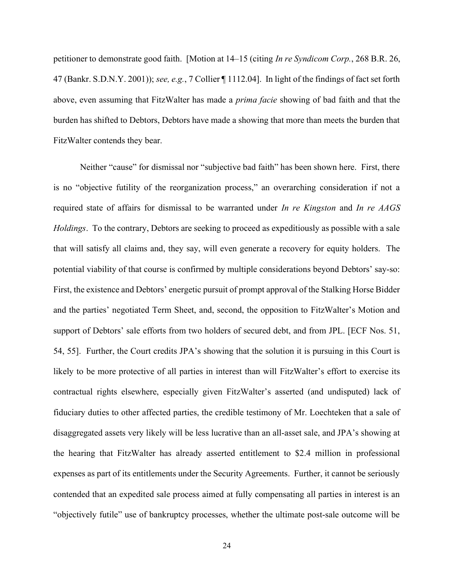petitioner to demonstrate good faith. [Motion at 14–15 (citing In re Syndicom Corp., 268 B.R. 26, 47 (Bankr. S.D.N.Y. 2001)); see, e.g., 7 Collier ¶ 1112.04]. In light of the findings of fact set forth above, even assuming that FitzWalter has made a *prima facie* showing of bad faith and that the burden has shifted to Debtors, Debtors have made a showing that more than meets the burden that FitzWalter contends they bear.

Neither "cause" for dismissal nor "subjective bad faith" has been shown here. First, there is no "objective futility of the reorganization process," an overarching consideration if not a required state of affairs for dismissal to be warranted under In re Kingston and In re AAGS Holdings. To the contrary, Debtors are seeking to proceed as expeditiously as possible with a sale that will satisfy all claims and, they say, will even generate a recovery for equity holders. The potential viability of that course is confirmed by multiple considerations beyond Debtors' say-so: First, the existence and Debtors' energetic pursuit of prompt approval of the Stalking Horse Bidder and the parties' negotiated Term Sheet, and, second, the opposition to FitzWalter's Motion and support of Debtors' sale efforts from two holders of secured debt, and from JPL. [ECF Nos. 51, 54, 55]. Further, the Court credits JPA's showing that the solution it is pursuing in this Court is likely to be more protective of all parties in interest than will FitzWalter's effort to exercise its contractual rights elsewhere, especially given FitzWalter's asserted (and undisputed) lack of fiduciary duties to other affected parties, the credible testimony of Mr. Loechteken that a sale of disaggregated assets very likely will be less lucrative than an all-asset sale, and JPA's showing at the hearing that FitzWalter has already asserted entitlement to \$2.4 million in professional expenses as part of its entitlements under the Security Agreements. Further, it cannot be seriously contended that an expedited sale process aimed at fully compensating all parties in interest is an "objectively futile" use of bankruptcy processes, whether the ultimate post-sale outcome will be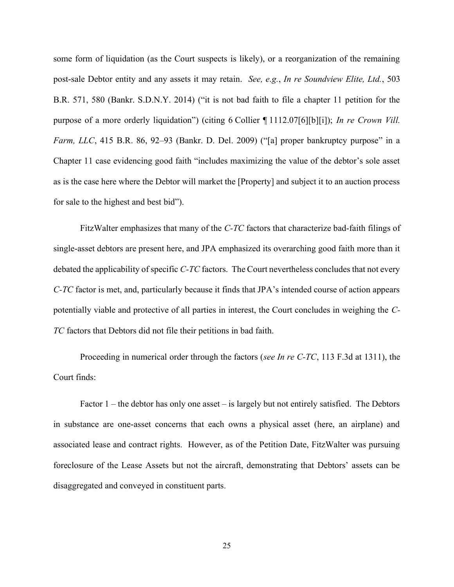some form of liquidation (as the Court suspects is likely), or a reorganization of the remaining post-sale Debtor entity and any assets it may retain. See, e.g., In re Soundview Elite, Ltd., 503 B.R. 571, 580 (Bankr. S.D.N.Y. 2014) ("it is not bad faith to file a chapter 11 petition for the purpose of a more orderly liquidation") (citing 6 Collier ¶ 1112.07[6][b][i]); In re Crown Vill. Farm, LLC, 415 B.R. 86, 92–93 (Bankr. D. Del. 2009) ("[a] proper bankruptcy purpose" in a Chapter 11 case evidencing good faith "includes maximizing the value of the debtor's sole asset as is the case here where the Debtor will market the [Property] and subject it to an auction process for sale to the highest and best bid").

 FitzWalter emphasizes that many of the C-TC factors that characterize bad-faith filings of single-asset debtors are present here, and JPA emphasized its overarching good faith more than it debated the applicability of specific C-TC factors. The Court nevertheless concludes that not every C-TC factor is met, and, particularly because it finds that JPA's intended course of action appears potentially viable and protective of all parties in interest, the Court concludes in weighing the C-TC factors that Debtors did not file their petitions in bad faith.

Proceeding in numerical order through the factors (see In re C-TC, 113 F.3d at 1311), the Court finds:

Factor 1 – the debtor has only one asset – is largely but not entirely satisfied. The Debtors in substance are one-asset concerns that each owns a physical asset (here, an airplane) and associated lease and contract rights. However, as of the Petition Date, FitzWalter was pursuing foreclosure of the Lease Assets but not the aircraft, demonstrating that Debtors' assets can be disaggregated and conveyed in constituent parts.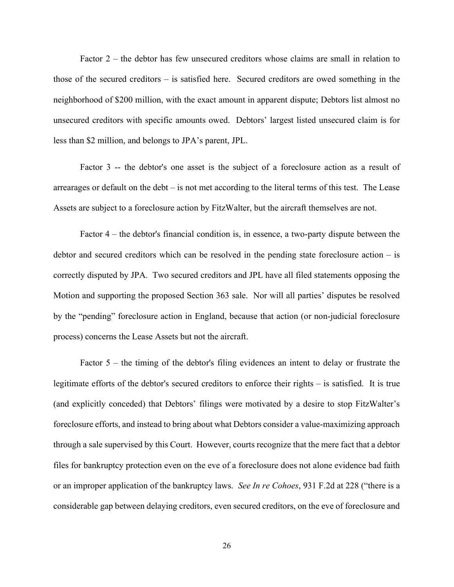Factor 2 – the debtor has few unsecured creditors whose claims are small in relation to those of the secured creditors – is satisfied here. Secured creditors are owed something in the neighborhood of \$200 million, with the exact amount in apparent dispute; Debtors list almost no unsecured creditors with specific amounts owed. Debtors' largest listed unsecured claim is for less than \$2 million, and belongs to JPA's parent, JPL.

Factor 3 -- the debtor's one asset is the subject of a foreclosure action as a result of arrearages or default on the debt – is not met according to the literal terms of this test. The Lease Assets are subject to a foreclosure action by FitzWalter, but the aircraft themselves are not.

Factor 4 – the debtor's financial condition is, in essence, a two-party dispute between the debtor and secured creditors which can be resolved in the pending state foreclosure action – is correctly disputed by JPA. Two secured creditors and JPL have all filed statements opposing the Motion and supporting the proposed Section 363 sale. Nor will all parties' disputes be resolved by the "pending" foreclosure action in England, because that action (or non-judicial foreclosure process) concerns the Lease Assets but not the aircraft.

Factor 5 – the timing of the debtor's filing evidences an intent to delay or frustrate the legitimate efforts of the debtor's secured creditors to enforce their rights – is satisfied. It is true (and explicitly conceded) that Debtors' filings were motivated by a desire to stop FitzWalter's foreclosure efforts, and instead to bring about what Debtors consider a value-maximizing approach through a sale supervised by this Court. However, courts recognize that the mere fact that a debtor files for bankruptcy protection even on the eve of a foreclosure does not alone evidence bad faith or an improper application of the bankruptcy laws. See In re Cohoes, 931 F.2d at 228 ("there is a considerable gap between delaying creditors, even secured creditors, on the eve of foreclosure and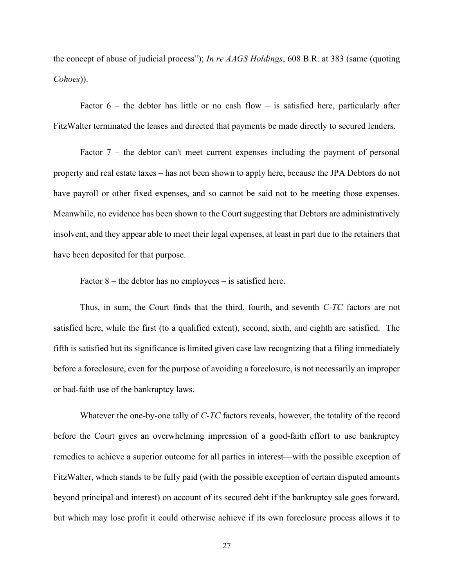the concept of abuse of judicial process"); In re AAGS Holdings, 608 B.R. at 383 (same (quoting Cohoes)).

Factor  $6$  – the debtor has little or no cash flow – is satisfied here, particularly after FitzWalter terminated the leases and directed that payments be made directly to secured lenders.

Factor  $7$  – the debtor can't meet current expenses including the payment of personal property and real estate taxes – has not been shown to apply here, because the JPA Debtors do not have payroll or other fixed expenses, and so cannot be said not to be meeting those expenses. Meanwhile, no evidence has been shown to the Court suggesting that Debtors are administratively insolvent, and they appear able to meet their legal expenses, at least in part due to the retainers that have been deposited for that purpose.

Factor  $8$  – the debtor has no employees – is satisfied here.

Thus, in sum, the Court finds that the third, fourth, and seventh C-TC factors are not satisfied here, while the first (to a qualified extent), second, sixth, and eighth are satisfied. The fifth is satisfied but its significance is limited given case law recognizing that a filing immediately before a foreclosure, even for the purpose of avoiding a foreclosure, is not necessarily an improper or bad-faith use of the bankruptcy laws.

Whatever the one-by-one tally of C-TC factors reveals, however, the totality of the record before the Court gives an overwhelming impression of a good-faith effort to use bankruptcy remedies to achieve a superior outcome for all parties in interest—with the possible exception of FitzWalter, which stands to be fully paid (with the possible exception of certain disputed amounts beyond principal and interest) on account of its secured debt if the bankruptcy sale goes forward, but which may lose profit it could otherwise achieve if its own foreclosure process allows it to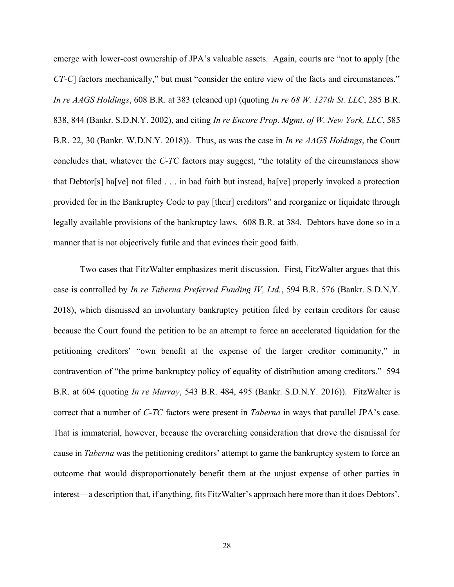emerge with lower-cost ownership of JPA's valuable assets. Again, courts are "not to apply [the CT-C] factors mechanically," but must "consider the entire view of the facts and circumstances." In re AAGS Holdings, 608 B.R. at 383 (cleaned up) (quoting In re 68 W. 127th St. LLC, 285 B.R. 838, 844 (Bankr. S.D.N.Y. 2002), and citing In re Encore Prop. Mgmt. of W. New York, LLC, 585 B.R. 22, 30 (Bankr. W.D.N.Y. 2018)). Thus, as was the case in *In re AAGS Holdings*, the Court concludes that, whatever the C-TC factors may suggest, "the totality of the circumstances show that Debtor[s] ha[ve] not filed . . . in bad faith but instead, ha[ve] properly invoked a protection provided for in the Bankruptcy Code to pay [their] creditors" and reorganize or liquidate through legally available provisions of the bankruptcy laws. 608 B.R. at 384. Debtors have done so in a manner that is not objectively futile and that evinces their good faith.

Two cases that FitzWalter emphasizes merit discussion. First, FitzWalter argues that this case is controlled by In re Taberna Preferred Funding IV, Ltd., 594 B.R. 576 (Bankr. S.D.N.Y. 2018), which dismissed an involuntary bankruptcy petition filed by certain creditors for cause because the Court found the petition to be an attempt to force an accelerated liquidation for the petitioning creditors' "own benefit at the expense of the larger creditor community," in contravention of "the prime bankruptcy policy of equality of distribution among creditors." 594 B.R. at 604 (quoting In re Murray, 543 B.R. 484, 495 (Bankr. S.D.N.Y. 2016)). FitzWalter is correct that a number of C-TC factors were present in Taberna in ways that parallel JPA's case. That is immaterial, however, because the overarching consideration that drove the dismissal for cause in Taberna was the petitioning creditors' attempt to game the bankruptcy system to force an outcome that would disproportionately benefit them at the unjust expense of other parties in interest—a description that, if anything, fits FitzWalter's approach here more than it does Debtors'.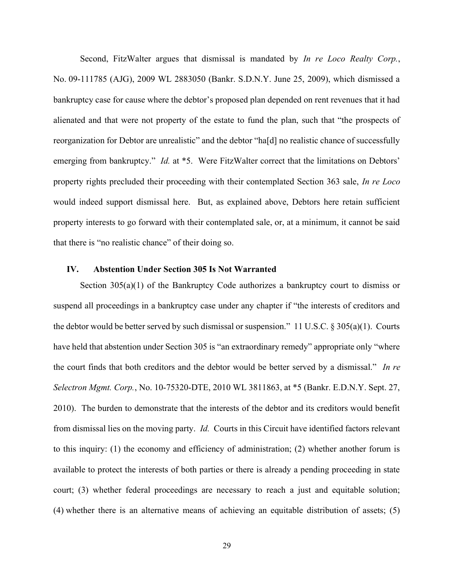Second, FitzWalter argues that dismissal is mandated by In re Loco Realty Corp., No. 09-111785 (AJG), 2009 WL 2883050 (Bankr. S.D.N.Y. June 25, 2009), which dismissed a bankruptcy case for cause where the debtor's proposed plan depended on rent revenues that it had alienated and that were not property of the estate to fund the plan, such that "the prospects of reorganization for Debtor are unrealistic" and the debtor "ha[d] no realistic chance of successfully emerging from bankruptcy." *Id.* at \*5. Were FitzWalter correct that the limitations on Debtors' property rights precluded their proceeding with their contemplated Section 363 sale, In re Loco would indeed support dismissal here. But, as explained above, Debtors here retain sufficient property interests to go forward with their contemplated sale, or, at a minimum, it cannot be said that there is "no realistic chance" of their doing so.

# IV. Abstention Under Section 305 Is Not Warranted

Section  $305(a)(1)$  of the Bankruptcy Code authorizes a bankruptcy court to dismiss or suspend all proceedings in a bankruptcy case under any chapter if "the interests of creditors and the debtor would be better served by such dismissal or suspension." 11 U.S.C. § 305(a)(1). Courts have held that abstention under Section 305 is "an extraordinary remedy" appropriate only "where the court finds that both creditors and the debtor would be better served by a dismissal." In re Selectron Mgmt. Corp., No. 10-75320-DTE, 2010 WL 3811863, at \*5 (Bankr. E.D.N.Y. Sept. 27, 2010). The burden to demonstrate that the interests of the debtor and its creditors would benefit from dismissal lies on the moving party. Id. Courts in this Circuit have identified factors relevant to this inquiry: (1) the economy and efficiency of administration; (2) whether another forum is available to protect the interests of both parties or there is already a pending proceeding in state court; (3) whether federal proceedings are necessary to reach a just and equitable solution; (4) whether there is an alternative means of achieving an equitable distribution of assets; (5)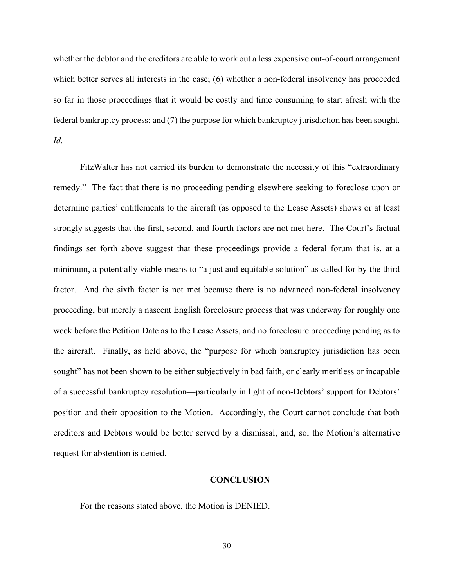whether the debtor and the creditors are able to work out a less expensive out-of-court arrangement which better serves all interests in the case; (6) whether a non-federal insolvency has proceeded so far in those proceedings that it would be costly and time consuming to start afresh with the federal bankruptcy process; and (7) the purpose for which bankruptcy jurisdiction has been sought. Id.

FitzWalter has not carried its burden to demonstrate the necessity of this "extraordinary remedy." The fact that there is no proceeding pending elsewhere seeking to foreclose upon or determine parties' entitlements to the aircraft (as opposed to the Lease Assets) shows or at least strongly suggests that the first, second, and fourth factors are not met here. The Court's factual findings set forth above suggest that these proceedings provide a federal forum that is, at a minimum, a potentially viable means to "a just and equitable solution" as called for by the third factor. And the sixth factor is not met because there is no advanced non-federal insolvency proceeding, but merely a nascent English foreclosure process that was underway for roughly one week before the Petition Date as to the Lease Assets, and no foreclosure proceeding pending as to the aircraft. Finally, as held above, the "purpose for which bankruptcy jurisdiction has been sought" has not been shown to be either subjectively in bad faith, or clearly meritless or incapable of a successful bankruptcy resolution—particularly in light of non-Debtors' support for Debtors' position and their opposition to the Motion. Accordingly, the Court cannot conclude that both creditors and Debtors would be better served by a dismissal, and, so, the Motion's alternative request for abstention is denied.

#### **CONCLUSION**

For the reasons stated above, the Motion is DENIED.